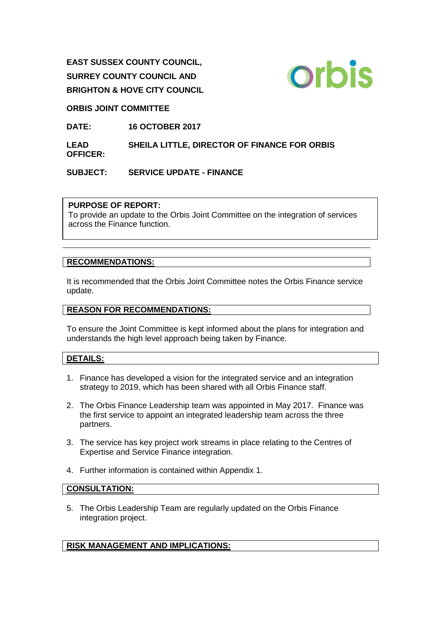**EAST SUSSEX COUNTY COUNCIL, SURREY COUNTY COUNCIL AND BRIGHTON & HOVE CITY COUNCIL**



## **ORBIS JOINT COMMITTEE**

**DATE: 16 OCTOBER 2017**

**LEAD OFFICER: SHEILA LITTLE, DIRECTOR OF FINANCE FOR ORBIS** 

**SUBJECT: SERVICE UPDATE - FINANCE**

## **PURPOSE OF REPORT:**

To provide an update to the Orbis Joint Committee on the integration of services across the Finance function.

## **RECOMMENDATIONS:**

It is recommended that the Orbis Joint Committee notes the Orbis Finance service update.

#### **REASON FOR RECOMMENDATIONS:**

To ensure the Joint Committee is kept informed about the plans for integration and understands the high level approach being taken by Finance.

## **DETAILS:**

- 1. Finance has developed a vision for the integrated service and an integration strategy to 2019, which has been shared with all Orbis Finance staff.
- 2. The Orbis Finance Leadership team was appointed in May 2017. Finance was the first service to appoint an integrated leadership team across the three partners.
- 3. The service has key project work streams in place relating to the Centres of Expertise and Service Finance integration.
- 4. Further information is contained within Appendix 1.

#### **CONSULTATION:**

5. The Orbis Leadership Team are regularly updated on the Orbis Finance integration project.

## **RISK MANAGEMENT AND IMPLICATIONS:**